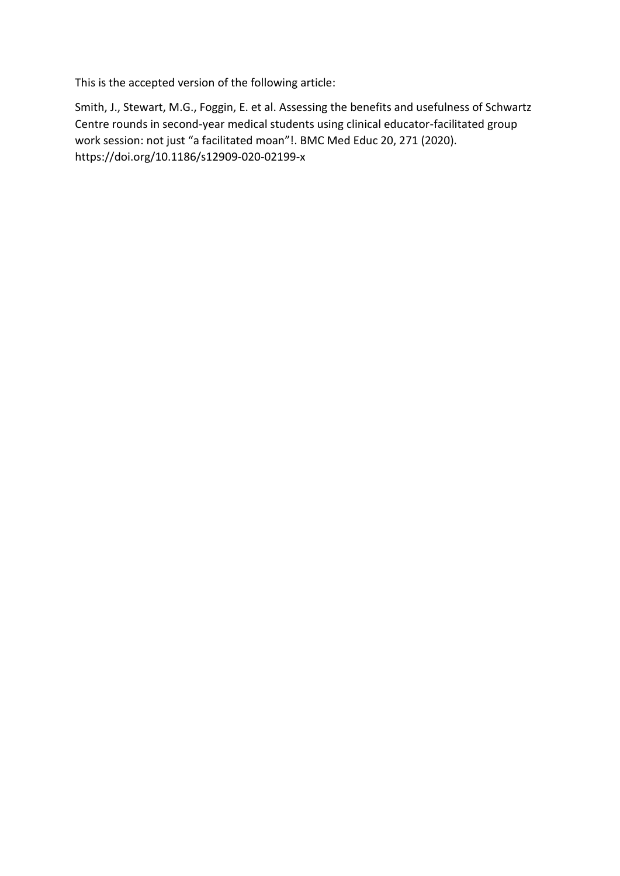This is the accepted version of the following article:

Smith, J., Stewart, M.G., Foggin, E. et al. Assessing the benefits and usefulness of Schwartz Centre rounds in second-year medical students using clinical educator-facilitated group work session: not just "a facilitated moan"!. BMC Med Educ 20, 271 (2020). https://doi.org/10.1186/s12909-020-02199-x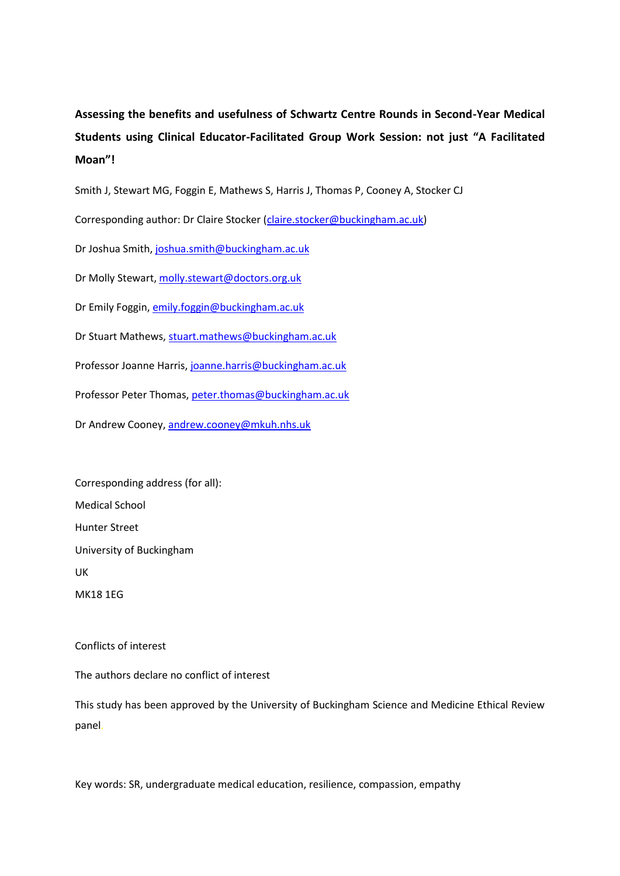**Assessing the benefits and usefulness of Schwartz Centre Rounds in Second-Year Medical Students using Clinical Educator-Facilitated Group Work Session: not just "A Facilitated Moan"!**

Smith J, Stewart MG, Foggin E, Mathews S, Harris J, Thomas P, Cooney A, Stocker CJ

Corresponding author: Dr Claire Stocker [\(claire.stocker@buckingham.ac.uk\)](mailto:claire.stocker@buckingham.ac.uk)

Dr Joshua Smith, [joshua.smith@buckingham.ac.uk](mailto:joshua.smith@buckingham.ac.uk)

Dr Molly Stewart, [molly.stewart@doctors.org.uk](mailto:molly.stewart@doctors.org.uk)

Dr Emily Foggin[, emily.foggin@buckingham.ac.uk](mailto:emily.foggin@buckingham.ac.uk)

Dr Stuart Mathews, [stuart.mathews@buckingham.ac.uk](mailto:stuart.mathews@buckingham.ac.uk)

Professor Joanne Harris, [joanne.harris@buckingham.ac.uk](mailto:joanne.harris@buckingham.ac.uk)

Professor Peter Thomas, [peter.thomas@buckingham.ac.uk](mailto:peter.thomas@buckingham.ac.uk)

Dr Andrew Cooney[, andrew.cooney@mkuh.nhs.uk](mailto:andrew.cooney@mkuh.nhs.uk)

Corresponding address (for all): Medical School Hunter Street University of Buckingham UK MK18 1EG

Conflicts of interest

The authors declare no conflict of interest

This study has been approved by the University of Buckingham Science and Medicine Ethical Review panel.

Key words: SR, undergraduate medical education, resilience, compassion, empathy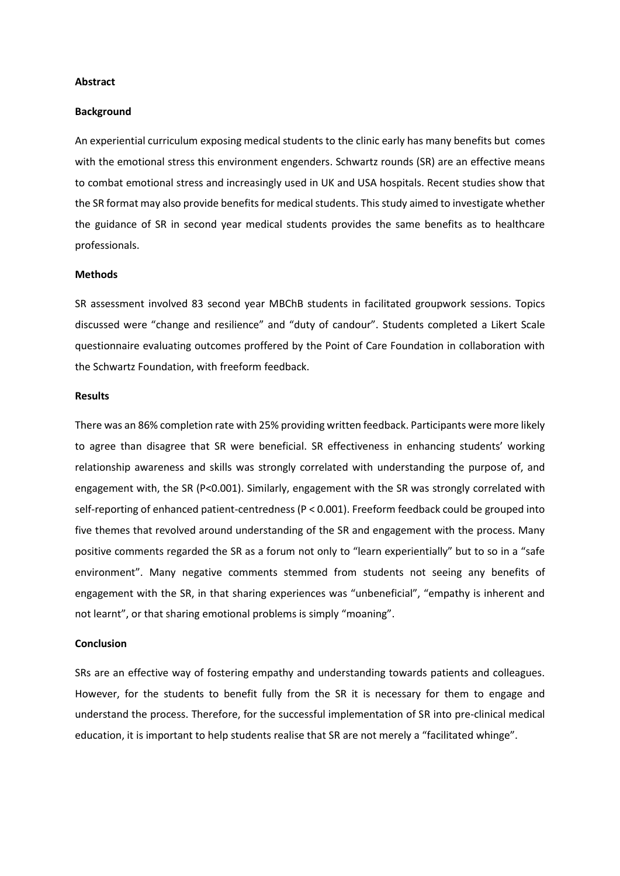#### **Abstract**

#### **Background**

An experiential curriculum exposing medical students to the clinic early has many benefits but comes with the emotional stress this environment engenders. Schwartz rounds (SR) are an effective means to combat emotional stress and increasingly used in UK and USA hospitals. Recent studies show that the SR format may also provide benefits for medical students. This study aimed to investigate whether the guidance of SR in second year medical students provides the same benefits as to healthcare professionals.

#### **Methods**

SR assessment involved 83 second year MBChB students in facilitated groupwork sessions. Topics discussed were "change and resilience" and "duty of candour". Students completed a Likert Scale questionnaire evaluating outcomes proffered by the Point of Care Foundation in collaboration with the Schwartz Foundation, with freeform feedback.

#### **Results**

There was an 86% completion rate with 25% providing written feedback. Participants were more likely to agree than disagree that SR were beneficial. SR effectiveness in enhancing students' working relationship awareness and skills was strongly correlated with understanding the purpose of, and engagement with, the SR (P<0.001). Similarly, engagement with the SR was strongly correlated with self-reporting of enhanced patient-centredness (P < 0.001). Freeform feedback could be grouped into five themes that revolved around understanding of the SR and engagement with the process. Many positive comments regarded the SR as a forum not only to "learn experientially" but to so in a "safe environment". Many negative comments stemmed from students not seeing any benefits of engagement with the SR, in that sharing experiences was "unbeneficial", "empathy is inherent and not learnt", or that sharing emotional problems is simply "moaning".

### **Conclusion**

SRs are an effective way of fostering empathy and understanding towards patients and colleagues. However, for the students to benefit fully from the SR it is necessary for them to engage and understand the process. Therefore, for the successful implementation of SR into pre-clinical medical education, it is important to help students realise that SR are not merely a "facilitated whinge".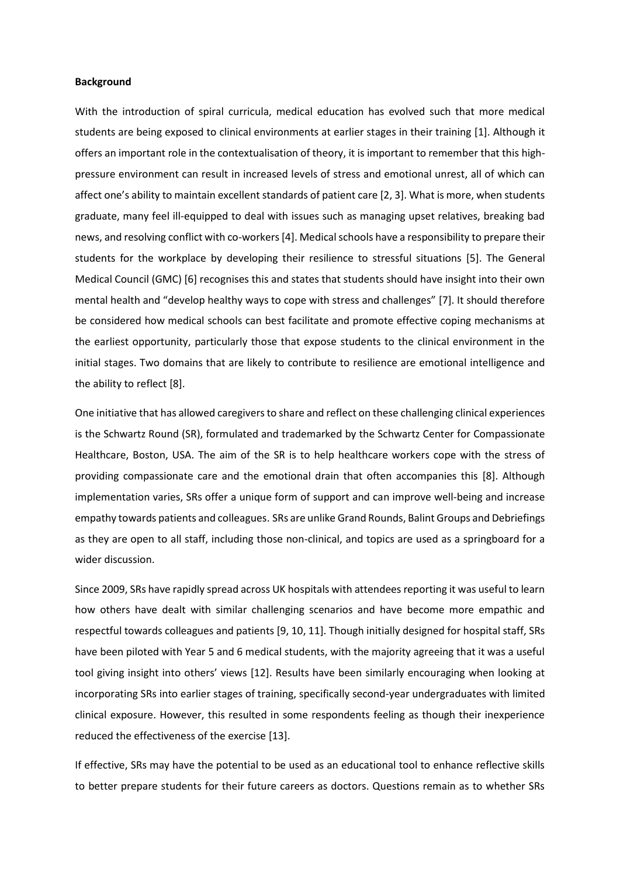### **Background**

With the introduction of spiral curricula, medical education has evolved such that more medical students are being exposed to clinical environments at earlier stages in their training [1]. Although it offers an important role in the contextualisation of theory, it is important to remember that this highpressure environment can result in increased levels of stress and emotional unrest, all of which can affect one's ability to maintain excellent standards of patient care [2, 3]. What is more, when students graduate, many feel ill-equipped to deal with issues such as managing upset relatives, breaking bad news, and resolving conflict with co-workers [4]. Medical schools have a responsibility to prepare their students for the workplace by developing their resilience to stressful situations [5]. The General Medical Council (GMC) [6] recognises this and states that students should have insight into their own mental health and "develop healthy ways to cope with stress and challenges" [7]. It should therefore be considered how medical schools can best facilitate and promote effective coping mechanisms at the earliest opportunity, particularly those that expose students to the clinical environment in the initial stages. Two domains that are likely to contribute to resilience are emotional intelligence and the ability to reflect [8].

One initiative that has allowed caregivers to share and reflect on these challenging clinical experiences is the Schwartz Round (SR), formulated and trademarked by the Schwartz Center for Compassionate Healthcare, Boston, USA. The aim of the SR is to help healthcare workers cope with the stress of providing compassionate care and the emotional drain that often accompanies this [8]. Although implementation varies, SRs offer a unique form of support and can improve well-being and increase empathy towards patients and colleagues. SRs are unlike Grand Rounds, Balint Groups and Debriefings as they are open to all staff, including those non-clinical, and topics are used as a springboard for a wider discussion.

Since 2009, SRs have rapidly spread across UK hospitals with attendees reporting it was useful to learn how others have dealt with similar challenging scenarios and have become more empathic and respectful towards colleagues and patients [9, 10, 11]. Though initially designed for hospital staff, SRs have been piloted with Year 5 and 6 medical students, with the majority agreeing that it was a useful tool giving insight into others' views [12]. Results have been similarly encouraging when looking at incorporating SRs into earlier stages of training, specifically second-year undergraduates with limited clinical exposure. However, this resulted in some respondents feeling as though their inexperience reduced the effectiveness of the exercise [13].

If effective, SRs may have the potential to be used as an educational tool to enhance reflective skills to better prepare students for their future careers as doctors. Questions remain as to whether SRs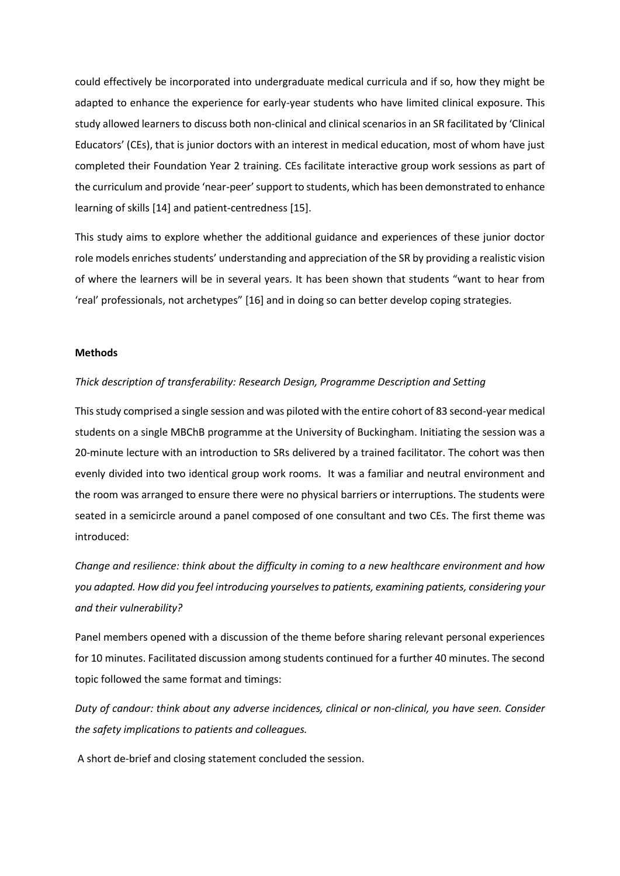could effectively be incorporated into undergraduate medical curricula and if so, how they might be adapted to enhance the experience for early-year students who have limited clinical exposure. This study allowed learners to discuss both non-clinical and clinical scenarios in an SR facilitated by 'Clinical Educators' (CEs), that is junior doctors with an interest in medical education, most of whom have just completed their Foundation Year 2 training. CEs facilitate interactive group work sessions as part of the curriculum and provide 'near-peer' support to students, which has been demonstrated to enhance learning of skills [14] and patient-centredness [15].

This study aims to explore whether the additional guidance and experiences of these junior doctor role models enriches students' understanding and appreciation of the SR by providing a realistic vision of where the learners will be in several years. It has been shown that students "want to hear from 'real' professionals, not archetypes" [16] and in doing so can better develop coping strategies.

#### **Methods**

#### *Thick description of transferability: Research Design, Programme Description and Setting*

This study comprised a single session and was piloted with the entire cohort of 83 second-year medical students on a single MBChB programme at the University of Buckingham. Initiating the session was a 20-minute lecture with an introduction to SRs delivered by a trained facilitator. The cohort was then evenly divided into two identical group work rooms. It was a familiar and neutral environment and the room was arranged to ensure there were no physical barriers or interruptions. The students were seated in a semicircle around a panel composed of one consultant and two CEs. The first theme was introduced:

*Change and resilience: think about the difficulty in coming to a new healthcare environment and how you adapted. How did you feel introducing yourselves to patients, examining patients, considering your and their vulnerability?*

Panel members opened with a discussion of the theme before sharing relevant personal experiences for 10 minutes. Facilitated discussion among students continued for a further 40 minutes. The second topic followed the same format and timings:

*Duty of candour: think about any adverse incidences, clinical or non-clinical, you have seen. Consider the safety implications to patients and colleagues.*

A short de-brief and closing statement concluded the session.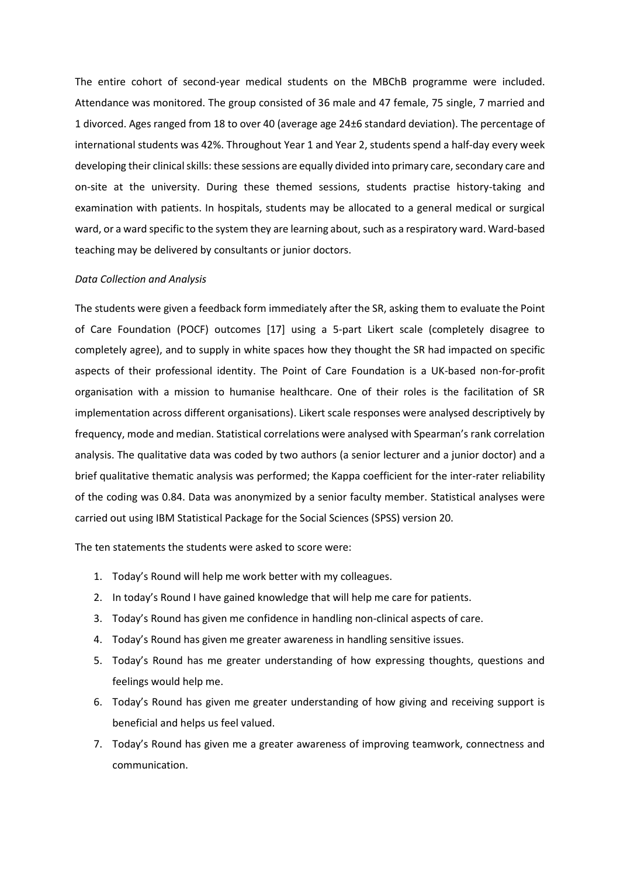The entire cohort of second-year medical students on the MBChB programme were included. Attendance was monitored. The group consisted of 36 male and 47 female, 75 single, 7 married and 1 divorced. Ages ranged from 18 to over 40 (average age 24±6 standard deviation). The percentage of international students was 42%. Throughout Year 1 and Year 2, students spend a half-day every week developing their clinical skills: these sessions are equally divided into primary care, secondary care and on-site at the university. During these themed sessions, students practise history-taking and examination with patients. In hospitals, students may be allocated to a general medical or surgical ward, or a ward specific to the system they are learning about, such as a respiratory ward. Ward-based teaching may be delivered by consultants or junior doctors.

#### *Data Collection and Analysis*

The students were given a feedback form immediately after the SR, asking them to evaluate the Point of Care Foundation (POCF) outcomes [17] using a 5-part Likert scale (completely disagree to completely agree), and to supply in white spaces how they thought the SR had impacted on specific aspects of their professional identity. The Point of Care Foundation is a UK-based non-for-profit organisation with a mission to humanise healthcare. One of their roles is the facilitation of SR implementation across different organisations). Likert scale responses were analysed descriptively by frequency, mode and median. Statistical correlations were analysed with Spearman's rank correlation analysis. The qualitative data was coded by two authors (a senior lecturer and a junior doctor) and a brief qualitative thematic analysis was performed; the Kappa coefficient for the inter-rater reliability of the coding was 0.84. Data was anonymized by a senior faculty member. Statistical analyses were carried out using IBM Statistical Package for the Social Sciences (SPSS) version 20.

The ten statements the students were asked to score were:

- 1. Today's Round will help me work better with my colleagues.
- 2. In today's Round I have gained knowledge that will help me care for patients.
- 3. Today's Round has given me confidence in handling non-clinical aspects of care.
- 4. Today's Round has given me greater awareness in handling sensitive issues.
- 5. Today's Round has me greater understanding of how expressing thoughts, questions and feelings would help me.
- 6. Today's Round has given me greater understanding of how giving and receiving support is beneficial and helps us feel valued.
- 7. Today's Round has given me a greater awareness of improving teamwork, connectness and communication.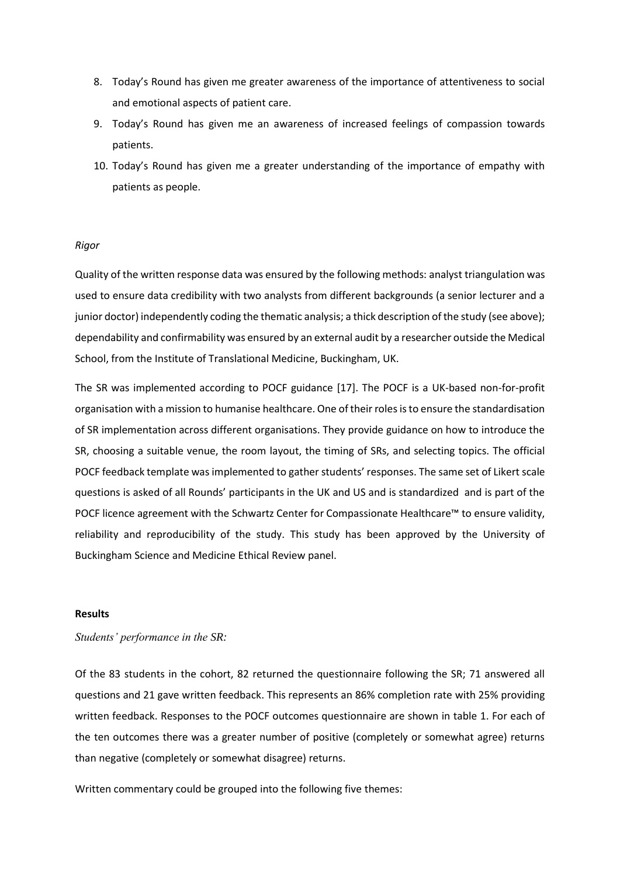- 8. Today's Round has given me greater awareness of the importance of attentiveness to social and emotional aspects of patient care.
- 9. Today's Round has given me an awareness of increased feelings of compassion towards patients.
- 10. Today's Round has given me a greater understanding of the importance of empathy with patients as people.

### *Rigor*

Quality of the written response data was ensured by the following methods: analyst triangulation was used to ensure data credibility with two analysts from different backgrounds (a senior lecturer and a junior doctor) independently coding the thematic analysis; a thick description of the study (see above); dependability and confirmability was ensured by an external audit by a researcher outside the Medical School, from the Institute of Translational Medicine, Buckingham, UK.

The SR was implemented according to POCF guidance [17]. The POCF is a UK-based non-for-profit organisation with a mission to humanise healthcare. One of their roles is to ensure the standardisation of SR implementation across different organisations. They provide guidance on how to introduce the SR, choosing a suitable venue, the room layout, the timing of SRs, and selecting topics. The official POCF feedback template was implemented to gather students' responses. The same set of Likert scale questions is asked of all Rounds' participants in the UK and US and is standardized and is part of the POCF licence agreement with the Schwartz Center for Compassionate Healthcare™ to ensure validity, reliability and reproducibility of the study. This study has been approved by the University of Buckingham Science and Medicine Ethical Review panel.

### **Results**

### *Students' performance in the SR:*

Of the 83 students in the cohort, 82 returned the questionnaire following the SR; 71 answered all questions and 21 gave written feedback. This represents an 86% completion rate with 25% providing written feedback. Responses to the POCF outcomes questionnaire are shown in table 1. For each of the ten outcomes there was a greater number of positive (completely or somewhat agree) returns than negative (completely or somewhat disagree) returns.

Written commentary could be grouped into the following five themes: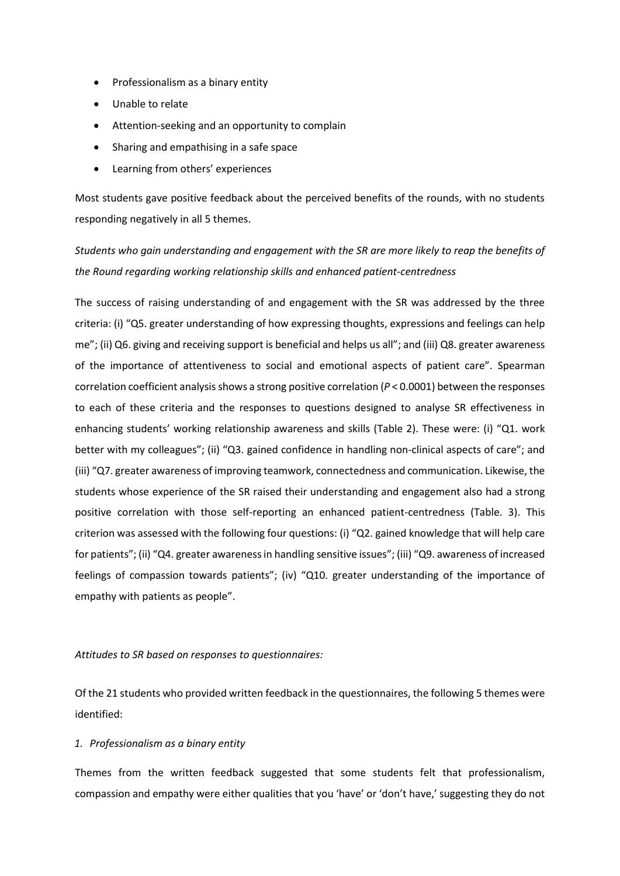- Professionalism as a binary entity
- Unable to relate
- Attention-seeking and an opportunity to complain
- Sharing and empathising in a safe space
- Learning from others' experiences

Most students gave positive feedback about the perceived benefits of the rounds, with no students responding negatively in all 5 themes.

*Students who gain understanding and engagement with the SR are more likely to reap the benefits of the Round regarding working relationship skills and enhanced patient-centredness* 

The success of raising understanding of and engagement with the SR was addressed by the three criteria: (i) "Q5. greater understanding of how expressing thoughts, expressions and feelings can help me"; (ii) Q6. giving and receiving support is beneficial and helps us all"; and (iii) Q8. greater awareness of the importance of attentiveness to social and emotional aspects of patient care". Spearman correlation coefficient analysis shows a strong positive correlation (*P* < 0.0001) between the responses to each of these criteria and the responses to questions designed to analyse SR effectiveness in enhancing students' working relationship awareness and skills (Table 2). These were: (i) "Q1. work better with my colleagues"; (ii) "Q3. gained confidence in handling non-clinical aspects of care"; and (iii) "Q7. greater awareness of improving teamwork, connectedness and communication. Likewise, the students whose experience of the SR raised their understanding and engagement also had a strong positive correlation with those self-reporting an enhanced patient-centredness (Table. 3). This criterion was assessed with the following four questions: (i) "Q2. gained knowledge that will help care for patients"; (ii) "Q4. greater awareness in handling sensitive issues"; (iii) "Q9. awareness of increased feelings of compassion towards patients"; (iv) "Q10. greater understanding of the importance of empathy with patients as people".

### *Attitudes to SR based on responses to questionnaires:*

Of the 21 students who provided written feedback in the questionnaires, the following 5 themes were identified:

### *1. Professionalism as a binary entity*

Themes from the written feedback suggested that some students felt that professionalism, compassion and empathy were either qualities that you 'have' or 'don't have,' suggesting they do not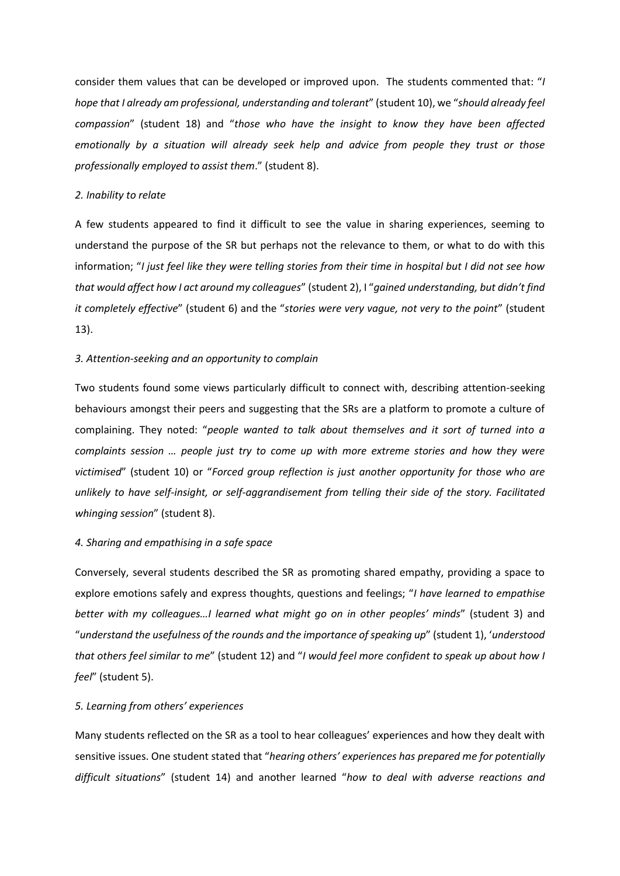consider them values that can be developed or improved upon. The students commented that: "*I hope that I already am professional, understanding and tolerant*" (student 10), we "*should already feel compassion*" (student 18) and "*those who have the insight to know they have been affected emotionally by a situation will already seek help and advice from people they trust or those professionally employed to assist them*." (student 8).

#### *2. Inability to relate*

A few students appeared to find it difficult to see the value in sharing experiences, seeming to understand the purpose of the SR but perhaps not the relevance to them, or what to do with this information; "*I just feel like they were telling stories from their time in hospital but I did not see how that would affect how I act around my colleagues*" (student 2), I "*gained understanding, but didn't find it completely effective*" (student 6) and the "*stories were very vague, not very to the point*" (student 13).

### *3. Attention-seeking and an opportunity to complain*

Two students found some views particularly difficult to connect with, describing attention-seeking behaviours amongst their peers and suggesting that the SRs are a platform to promote a culture of complaining. They noted: "*people wanted to talk about themselves and it sort of turned into a complaints session … people just try to come up with more extreme stories and how they were victimised*" (student 10) or "*Forced group reflection is just another opportunity for those who are unlikely to have self-insight, or self-aggrandisement from telling their side of the story. Facilitated whinging session*" (student 8).

#### *4. Sharing and empathising in a safe space*

Conversely, several students described the SR as promoting shared empathy, providing a space to explore emotions safely and express thoughts, questions and feelings; "*I have learned to empathise better with my colleagues…I learned what might go on in other peoples' minds*" (student 3) and "*understand the usefulness of the rounds and the importance of speaking up*" (student 1), '*understood that others feel similar to me*" (student 12) and "*I would feel more confident to speak up about how I feel*" (student 5).

#### *5. Learning from others' experiences*

Many students reflected on the SR as a tool to hear colleagues' experiences and how they dealt with sensitive issues. One student stated that "*hearing others' experiences has prepared me for potentially difficult situations*" (student 14) and another learned "*how to deal with adverse reactions and*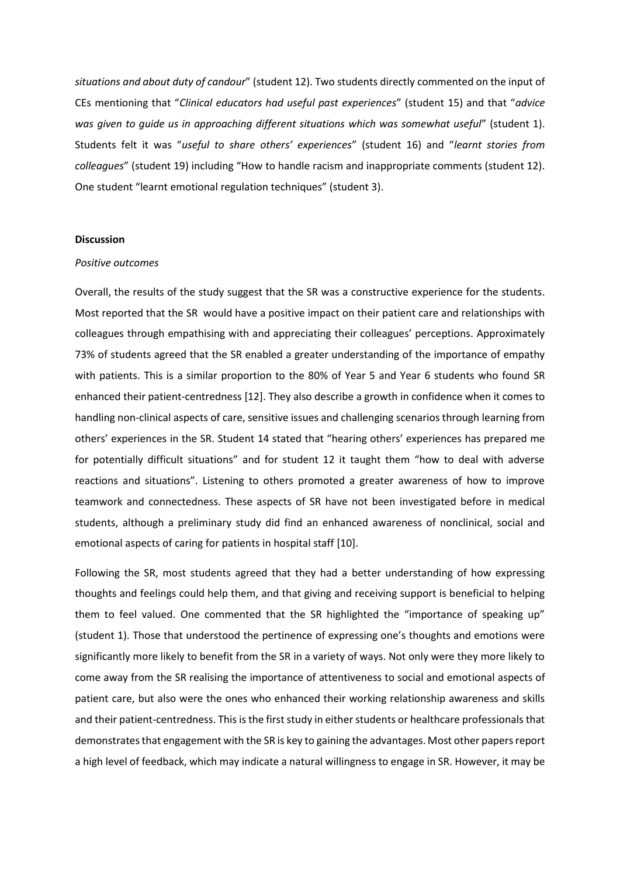*situations and about duty of candour*" (student 12). Two students directly commented on the input of CEs mentioning that "*Clinical educators had useful past experiences*" (student 15) and that "*advice was given to guide us in approaching different situations which was somewhat useful*" (student 1). Students felt it was "*useful to share others' experiences*" (student 16) and "*learnt stories from colleagues*" (student 19) including "How to handle racism and inappropriate comments (student 12). One student "learnt emotional regulation techniques" (student 3).

### **Discussion**

#### *Positive outcomes*

Overall, the results of the study suggest that the SR was a constructive experience for the students. Most reported that the SR would have a positive impact on their patient care and relationships with colleagues through empathising with and appreciating their colleagues' perceptions. Approximately 73% of students agreed that the SR enabled a greater understanding of the importance of empathy with patients. This is a similar proportion to the 80% of Year 5 and Year 6 students who found SR enhanced their patient-centredness [12]. They also describe a growth in confidence when it comes to handling non-clinical aspects of care, sensitive issues and challenging scenarios through learning from others' experiences in the SR. Student 14 stated that "hearing others' experiences has prepared me for potentially difficult situations" and for student 12 it taught them "how to deal with adverse reactions and situations". Listening to others promoted a greater awareness of how to improve teamwork and connectedness. These aspects of SR have not been investigated before in medical students, although a preliminary study did find an enhanced awareness of nonclinical, social and emotional aspects of caring for patients in hospital staff [10].

Following the SR, most students agreed that they had a better understanding of how expressing thoughts and feelings could help them, and that giving and receiving support is beneficial to helping them to feel valued. One commented that the SR highlighted the "importance of speaking up" (student 1). Those that understood the pertinence of expressing one's thoughts and emotions were significantly more likely to benefit from the SR in a variety of ways. Not only were they more likely to come away from the SR realising the importance of attentiveness to social and emotional aspects of patient care, but also were the ones who enhanced their working relationship awareness and skills and their patient-centredness. This is the first study in either students or healthcare professionals that demonstrates that engagement with the SR is key to gaining the advantages. Most other papers report a high level of feedback, which may indicate a natural willingness to engage in SR. However, it may be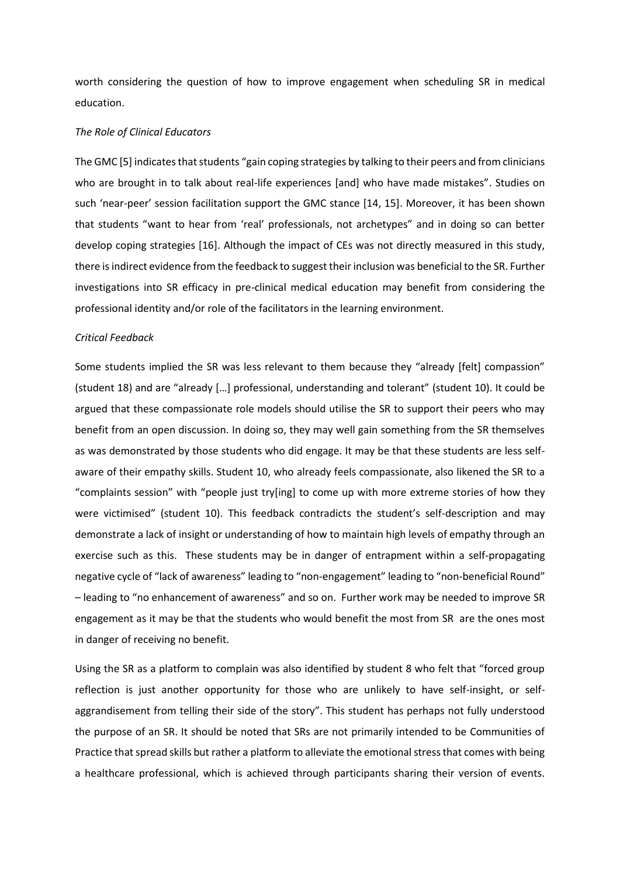worth considering the question of how to improve engagement when scheduling SR in medical education.

#### *The Role of Clinical Educators*

The GMC [5] indicates that students "gain coping strategies by talking to their peers and from clinicians who are brought in to talk about real-life experiences [and] who have made mistakes". Studies on such 'near-peer' session facilitation support the GMC stance [14, 15]. Moreover, it has been shown that students "want to hear from 'real' professionals, not archetypes" and in doing so can better develop coping strategies [16]. Although the impact of CEs was not directly measured in this study, there is indirect evidence from the feedback to suggest their inclusion was beneficial to the SR. Further investigations into SR efficacy in pre-clinical medical education may benefit from considering the professional identity and/or role of the facilitators in the learning environment.

#### *Critical Feedback*

Some students implied the SR was less relevant to them because they "already [felt] compassion" (student 18) and are "already […] professional, understanding and tolerant" (student 10). It could be argued that these compassionate role models should utilise the SR to support their peers who may benefit from an open discussion. In doing so, they may well gain something from the SR themselves as was demonstrated by those students who did engage. It may be that these students are less selfaware of their empathy skills. Student 10, who already feels compassionate, also likened the SR to a "complaints session" with "people just try[ing] to come up with more extreme stories of how they were victimised" (student 10). This feedback contradicts the student's self-description and may demonstrate a lack of insight or understanding of how to maintain high levels of empathy through an exercise such as this. These students may be in danger of entrapment within a self-propagating negative cycle of "lack of awareness" leading to "non-engagement" leading to "non-beneficial Round" – leading to "no enhancement of awareness" and so on. Further work may be needed to improve SR engagement as it may be that the students who would benefit the most from SR are the ones most in danger of receiving no benefit.

Using the SR as a platform to complain was also identified by student 8 who felt that "forced group reflection is just another opportunity for those who are unlikely to have self-insight, or selfaggrandisement from telling their side of the story". This student has perhaps not fully understood the purpose of an SR. It should be noted that SRs are not primarily intended to be Communities of Practice that spread skills but rather a platform to alleviate the emotional stress that comes with being a healthcare professional, which is achieved through participants sharing their version of events.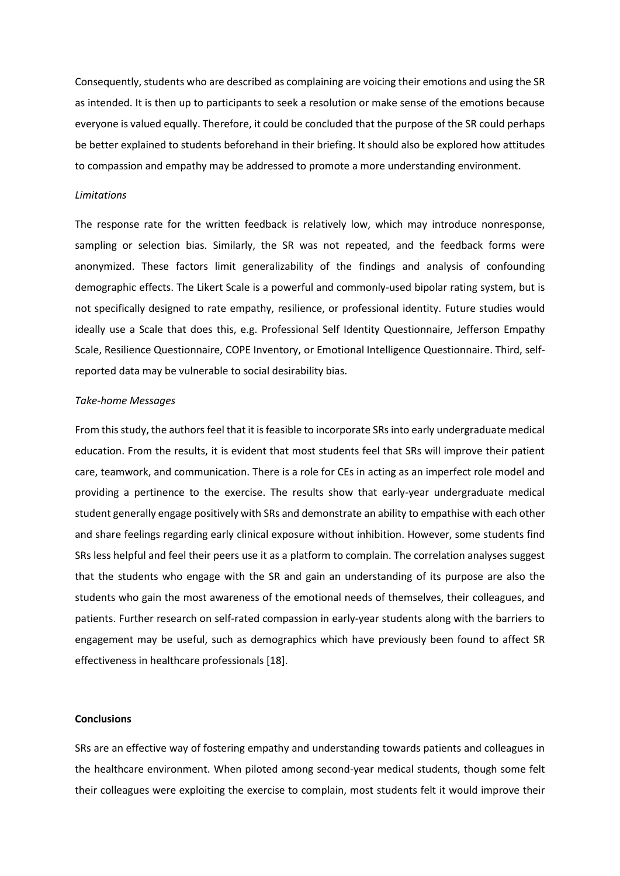Consequently, students who are described as complaining are voicing their emotions and using the SR as intended. It is then up to participants to seek a resolution or make sense of the emotions because everyone is valued equally. Therefore, it could be concluded that the purpose of the SR could perhaps be better explained to students beforehand in their briefing. It should also be explored how attitudes to compassion and empathy may be addressed to promote a more understanding environment.

#### *Limitations*

The response rate for the written feedback is relatively low, which may introduce nonresponse, sampling or selection bias. Similarly, the SR was not repeated, and the feedback forms were anonymized. These factors limit generalizability of the findings and analysis of confounding demographic effects. The Likert Scale is a powerful and commonly-used bipolar rating system, but is not specifically designed to rate empathy, resilience, or professional identity. Future studies would ideally use a Scale that does this, e.g. Professional Self Identity Questionnaire, Jefferson Empathy Scale, Resilience Questionnaire, COPE Inventory, or Emotional Intelligence Questionnaire. Third, selfreported data may be vulnerable to social desirability bias.

#### *Take-home Messages*

From this study, the authors feel that it is feasible to incorporate SRs into early undergraduate medical education. From the results, it is evident that most students feel that SRs will improve their patient care, teamwork, and communication. There is a role for CEs in acting as an imperfect role model and providing a pertinence to the exercise. The results show that early-year undergraduate medical student generally engage positively with SRs and demonstrate an ability to empathise with each other and share feelings regarding early clinical exposure without inhibition. However, some students find SRs less helpful and feel their peers use it as a platform to complain. The correlation analyses suggest that the students who engage with the SR and gain an understanding of its purpose are also the students who gain the most awareness of the emotional needs of themselves, their colleagues, and patients. Further research on self-rated compassion in early-year students along with the barriers to engagement may be useful, such as demographics which have previously been found to affect SR effectiveness in healthcare professionals [18].

### **Conclusions**

SRs are an effective way of fostering empathy and understanding towards patients and colleagues in the healthcare environment. When piloted among second-year medical students, though some felt their colleagues were exploiting the exercise to complain, most students felt it would improve their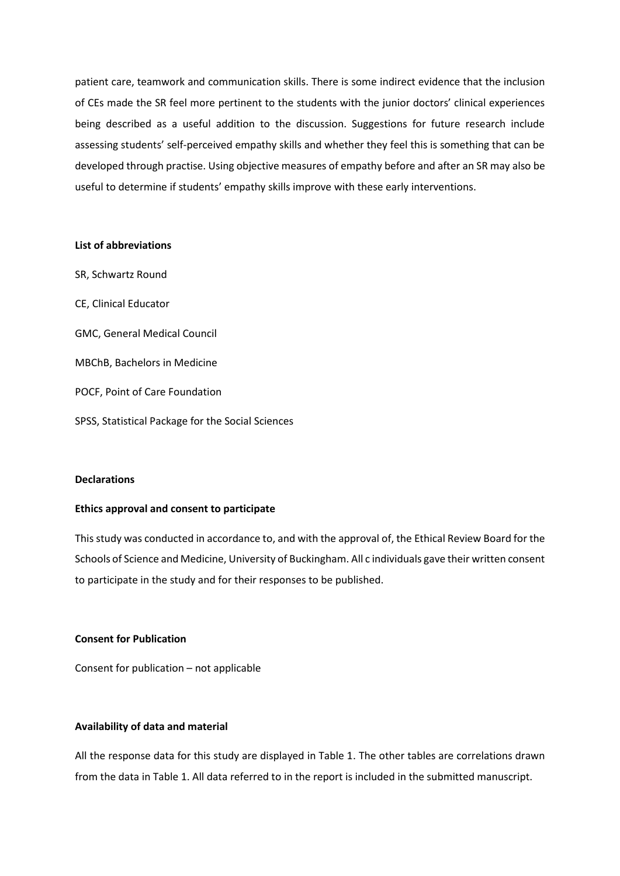patient care, teamwork and communication skills. There is some indirect evidence that the inclusion of CEs made the SR feel more pertinent to the students with the junior doctors' clinical experiences being described as a useful addition to the discussion. Suggestions for future research include assessing students' self-perceived empathy skills and whether they feel this is something that can be developed through practise. Using objective measures of empathy before and after an SR may also be useful to determine if students' empathy skills improve with these early interventions.

#### **List of abbreviations**

SR, Schwartz Round CE, Clinical Educator GMC, General Medical Council MBChB, Bachelors in Medicine POCF, Point of Care Foundation SPSS, Statistical Package for the Social Sciences

### **Declarations**

### **Ethics approval and consent to participate**

This study was conducted in accordance to, and with the approval of, the Ethical Review Board for the Schools of Science and Medicine, University of Buckingham. All c individuals gave their written consent to participate in the study and for their responses to be published.

### **Consent for Publication**

Consent for publication – not applicable

### **Availability of data and material**

All the response data for this study are displayed in Table 1. The other tables are correlations drawn from the data in Table 1. All data referred to in the report is included in the submitted manuscript.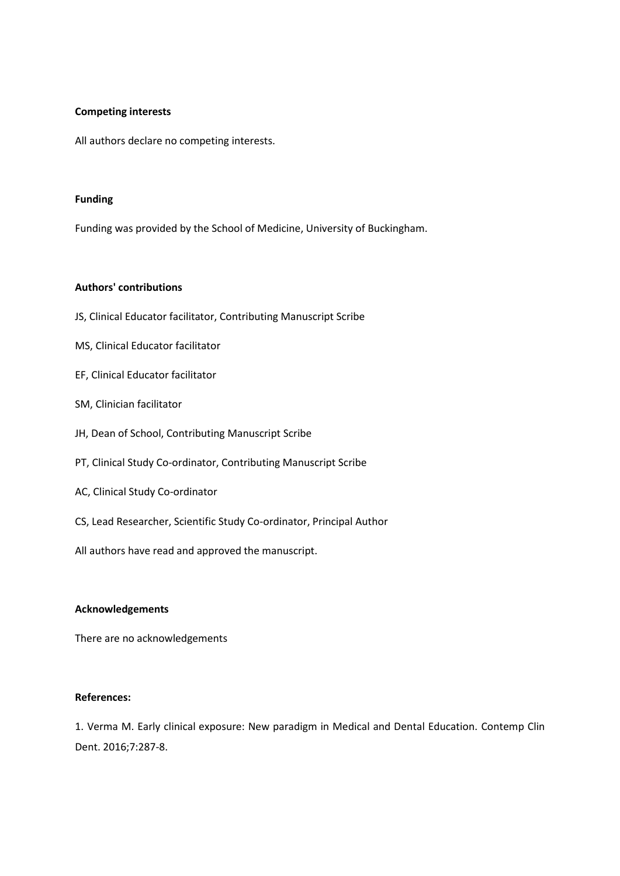# **Competing interests**

All authors declare no competing interests.

## **Funding**

Funding was provided by the School of Medicine, University of Buckingham.

### **Authors' contributions**

- JS, Clinical Educator facilitator, Contributing Manuscript Scribe
- MS, Clinical Educator facilitator
- EF, Clinical Educator facilitator
- SM, Clinician facilitator
- JH, Dean of School, Contributing Manuscript Scribe
- PT, Clinical Study Co-ordinator, Contributing Manuscript Scribe
- AC, Clinical Study Co-ordinator
- CS, Lead Researcher, Scientific Study Co-ordinator, Principal Author
- All authors have read and approved the manuscript.

# **Acknowledgements**

There are no acknowledgements

#### **References:**

1. Verma M. Early clinical exposure: New paradigm in Medical and Dental Education. Contemp Clin Dent. 2016;7:287-8.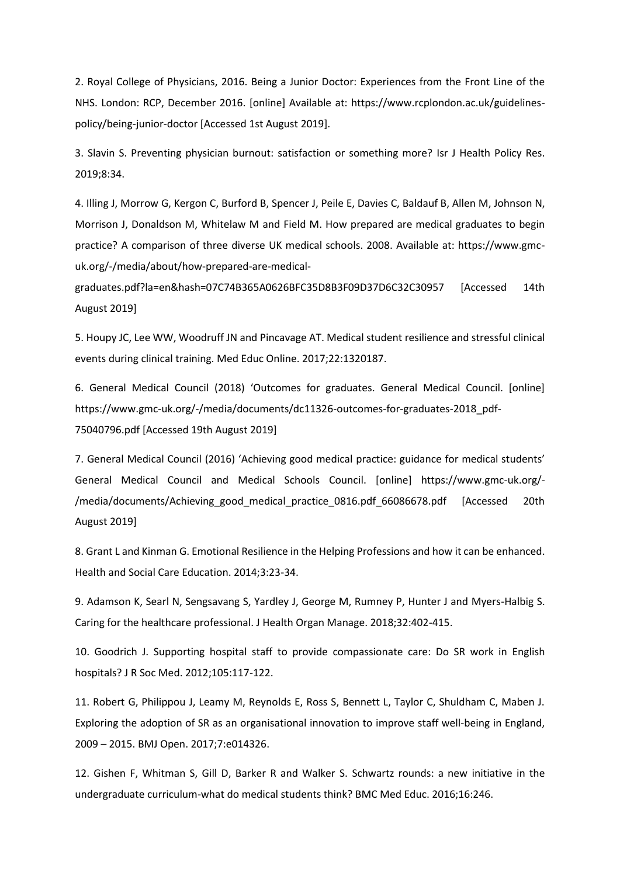2. Royal College of Physicians, 2016. Being a Junior Doctor: Experiences from the Front Line of the NHS. London: RCP, December 2016. [online] Available at: https://www.rcplondon.ac.uk/guidelinespolicy/being-junior-doctor [Accessed 1st August 2019].

3. Slavin S. Preventing physician burnout: satisfaction or something more? Isr J Health Policy Res. 2019;8:34.

4. Illing J, Morrow G, Kergon C, Burford B, Spencer J, Peile E, Davies C, Baldauf B, Allen M, Johnson N, Morrison J, Donaldson M, Whitelaw M and Field M. How prepared are medical graduates to begin practice? A comparison of three diverse UK medical schools. 2008. Available at: https://www.gmcuk.org/-/media/about/how-prepared-are-medical-

graduates.pdf?la=en&hash=07C74B365A0626BFC35D8B3F09D37D6C32C30957 [Accessed 14th August 2019]

5. Houpy JC, Lee WW, Woodruff JN and Pincavage AT. Medical student resilience and stressful clinical events during clinical training. Med Educ Online. 2017;22:1320187.

6. General Medical Council (2018) 'Outcomes for graduates. General Medical Council. [online] https://www.gmc-uk.org/-/media/documents/dc11326-outcomes-for-graduates-2018\_pdf-75040796.pdf [Accessed 19th August 2019]

7. General Medical Council (2016) 'Achieving good medical practice: guidance for medical students' General Medical Council and Medical Schools Council. [online] https://www.gmc-uk.org/- /media/documents/Achieving\_good\_medical\_practice\_0816.pdf\_66086678.pdf [Accessed 20th August 2019]

8. Grant L and Kinman G. Emotional Resilience in the Helping Professions and how it can be enhanced. Health and Social Care Education. 2014;3:23-34.

9. Adamson K, Searl N, Sengsavang S, Yardley J, George M, Rumney P, Hunter J and Myers-Halbig S. Caring for the healthcare professional. J Health Organ Manage. 2018;32:402-415.

10. Goodrich J. Supporting hospital staff to provide compassionate care: Do SR work in English hospitals? J R Soc Med. 2012;105:117-122.

11. Robert G, Philippou J, Leamy M, Reynolds E, Ross S, Bennett L, Taylor C, Shuldham C, Maben J. Exploring the adoption of SR as an organisational innovation to improve staff well-being in England, 2009 – 2015. BMJ Open. 2017;7:e014326.

12. Gishen F, Whitman S, Gill D, Barker R and Walker S. Schwartz rounds: a new initiative in the undergraduate curriculum-what do medical students think? BMC Med Educ. 2016;16:246.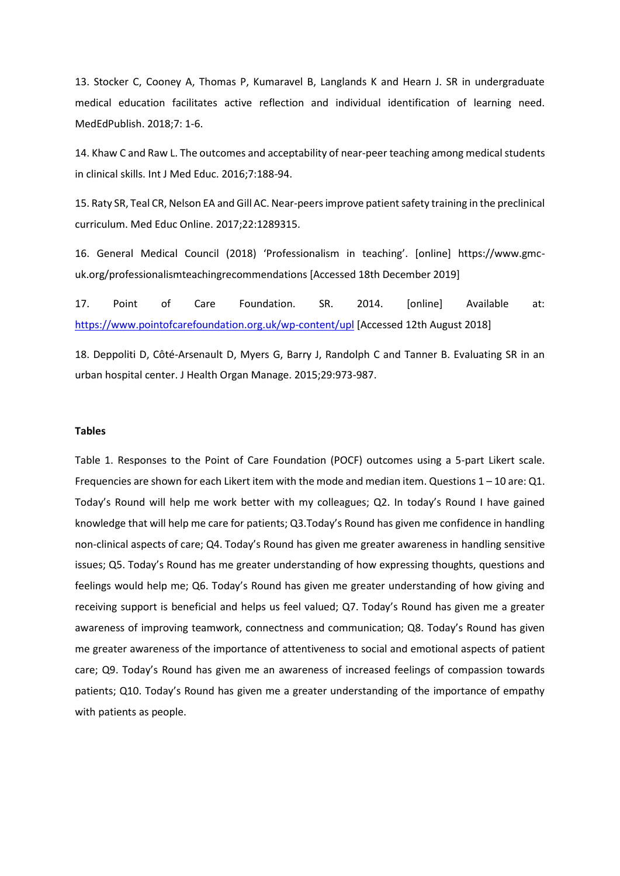13. Stocker C, Cooney A, Thomas P, Kumaravel B, Langlands K and Hearn J. SR in undergraduate medical education facilitates active reflection and individual identification of learning need. MedEdPublish. 2018;7: 1-6.

14. Khaw C and Raw L. The outcomes and acceptability of near-peer teaching among medical students in clinical skills. Int J Med Educ. 2016;7:188-94.

15. Raty SR, Teal CR, Nelson EA and Gill AC. Near-peers improve patient safety training in the preclinical curriculum. Med Educ Online. 2017;22:1289315.

16. General Medical Council (2018) 'Professionalism in teaching'. [online] https://www.gmcuk.org/professionalismteachingrecommendations [Accessed 18th December 2019]

17. Point of Care Foundation. SR. 2014. [online] Available at: <https://www.pointofcarefoundation.org.uk/wp-content/upl> [Accessed 12th August 2018]

18. Deppoliti D, Côté-Arsenault D, Myers G, Barry J, Randolph C and Tanner B. Evaluating SR in an urban hospital center. J Health Organ Manage. 2015;29:973-987.

### **Tables**

Table 1. Responses to the Point of Care Foundation (POCF) outcomes using a 5-part Likert scale. Frequencies are shown for each Likert item with the mode and median item. Questions  $1 - 10$  are: Q1. Today's Round will help me work better with my colleagues; Q2. In today's Round I have gained knowledge that will help me care for patients; Q3.Today's Round has given me confidence in handling non-clinical aspects of care; Q4. Today's Round has given me greater awareness in handling sensitive issues; Q5. Today's Round has me greater understanding of how expressing thoughts, questions and feelings would help me; Q6. Today's Round has given me greater understanding of how giving and receiving support is beneficial and helps us feel valued; Q7. Today's Round has given me a greater awareness of improving teamwork, connectness and communication; Q8. Today's Round has given me greater awareness of the importance of attentiveness to social and emotional aspects of patient care; Q9. Today's Round has given me an awareness of increased feelings of compassion towards patients; Q10. Today's Round has given me a greater understanding of the importance of empathy with patients as people.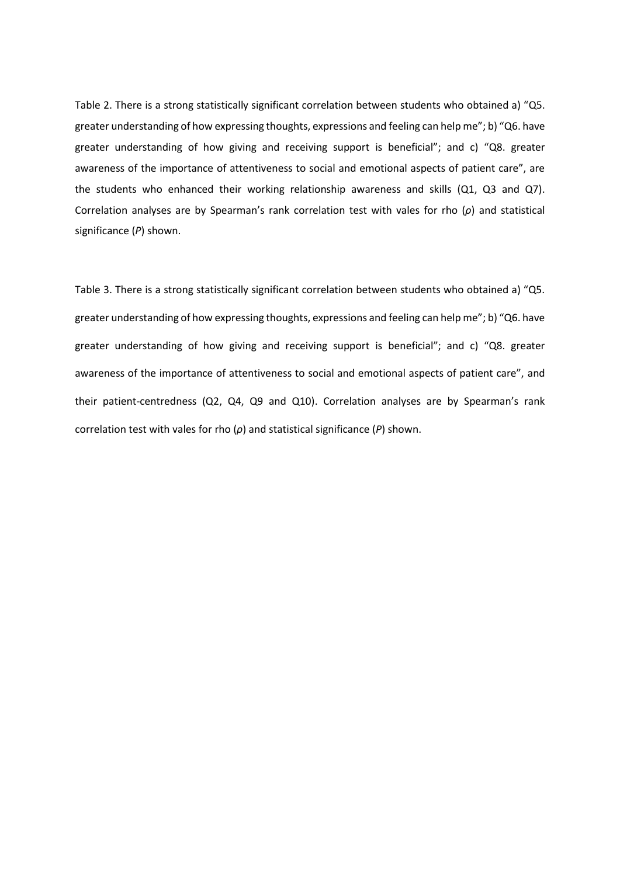Table 2. There is a strong statistically significant correlation between students who obtained a) "Q5. greater understanding of how expressing thoughts, expressions and feeling can help me"; b) "Q6. have greater understanding of how giving and receiving support is beneficial"; and c) "Q8. greater awareness of the importance of attentiveness to social and emotional aspects of patient care", are the students who enhanced their working relationship awareness and skills (Q1, Q3 and Q7). Correlation analyses are by Spearman's rank correlation test with vales for rho (*ρ*) and statistical significance (*P*) shown.

Table 3. There is a strong statistically significant correlation between students who obtained a) "Q5. greater understanding of how expressing thoughts, expressions and feeling can help me"; b) "Q6. have greater understanding of how giving and receiving support is beneficial"; and c) "Q8. greater awareness of the importance of attentiveness to social and emotional aspects of patient care", and their patient-centredness (Q2, Q4, Q9 and Q10). Correlation analyses are by Spearman's rank correlation test with vales for rho (*ρ*) and statistical significance (*P*) shown.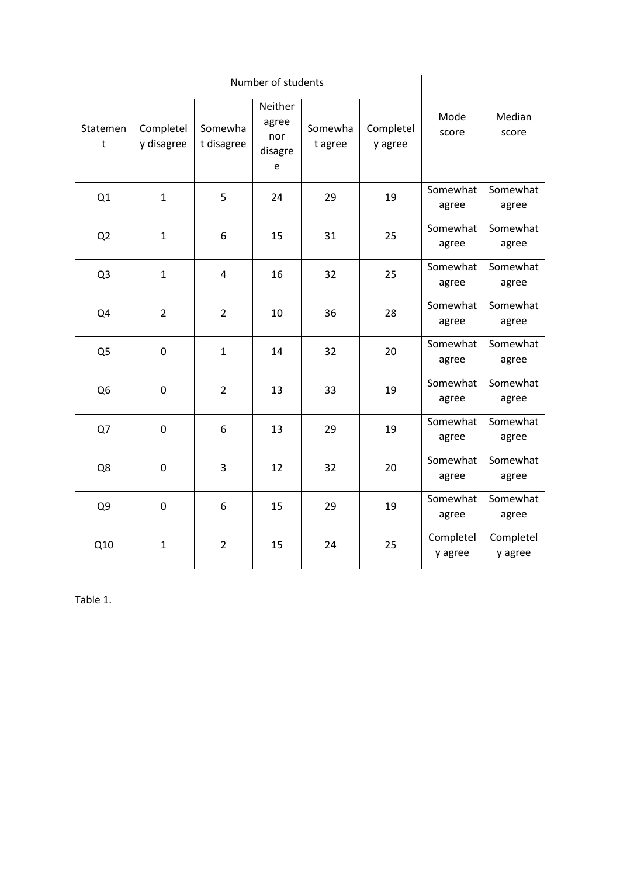|                | Number of students      |                       |                                         |                    |                      |                      |                      |
|----------------|-------------------------|-----------------------|-----------------------------------------|--------------------|----------------------|----------------------|----------------------|
| Statemen<br>t  | Completel<br>y disagree | Somewha<br>t disagree | Neither<br>agree<br>nor<br>disagre<br>e | Somewha<br>t agree | Completel<br>y agree | Mode<br>score        | Median<br>score      |
| Q1             | $\mathbf{1}$            | 5                     | 24                                      | 29                 | 19                   | Somewhat<br>agree    | Somewhat<br>agree    |
| Q <sub>2</sub> | $\mathbf{1}$            | 6                     | 15                                      | 31                 | 25                   | Somewhat<br>agree    | Somewhat<br>agree    |
| Q <sub>3</sub> | $\mathbf{1}$            | 4                     | 16                                      | 32                 | 25                   | Somewhat<br>agree    | Somewhat<br>agree    |
| Q4             | $\overline{2}$          | $\overline{2}$        | 10                                      | 36                 | 28                   | Somewhat<br>agree    | Somewhat<br>agree    |
| Q <sub>5</sub> | $\pmb{0}$               | $\mathbf 1$           | 14                                      | 32                 | 20                   | Somewhat<br>agree    | Somewhat<br>agree    |
| Q <sub>6</sub> | $\pmb{0}$               | $\overline{2}$        | 13                                      | 33                 | 19                   | Somewhat<br>agree    | Somewhat<br>agree    |
| Q7             | $\pmb{0}$               | 6                     | 13                                      | 29                 | 19                   | Somewhat<br>agree    | Somewhat<br>agree    |
| Q8             | $\pmb{0}$               | 3                     | 12                                      | 32                 | 20                   | Somewhat<br>agree    | Somewhat<br>agree    |
| Q <sub>9</sub> | $\pmb{0}$               | 6                     | 15                                      | 29                 | 19                   | Somewhat<br>agree    | Somewhat<br>agree    |
| Q10            | $\mathbf{1}$            | $\overline{2}$        | 15                                      | 24                 | 25                   | Completel<br>y agree | Completel<br>y agree |

Table 1.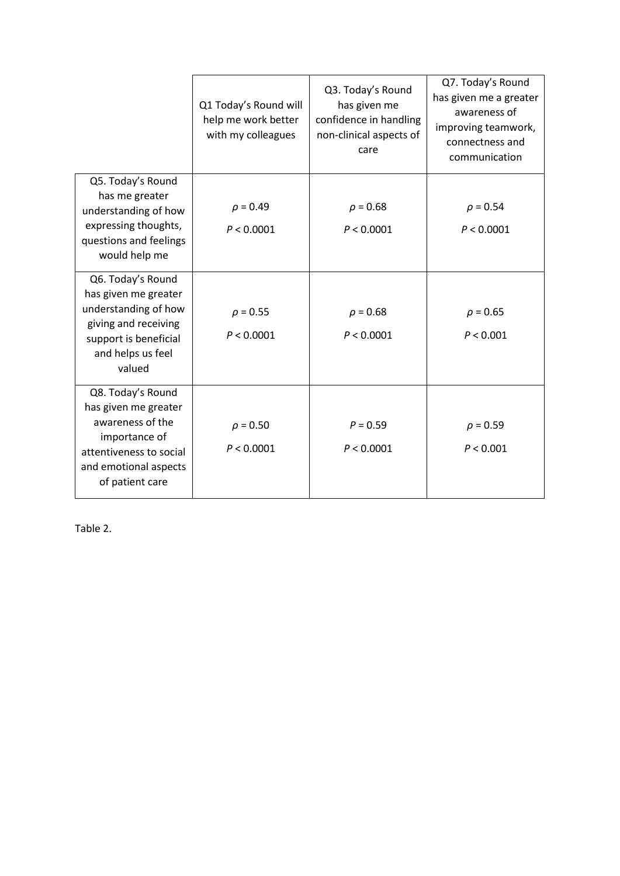|                                                                                                                                                       | Q1 Today's Round will<br>help me work better<br>with my colleagues | Q3. Today's Round<br>has given me<br>confidence in handling<br>non-clinical aspects of<br>care | Q7. Today's Round<br>has given me a greater<br>awareness of<br>improving teamwork,<br>connectness and<br>communication |
|-------------------------------------------------------------------------------------------------------------------------------------------------------|--------------------------------------------------------------------|------------------------------------------------------------------------------------------------|------------------------------------------------------------------------------------------------------------------------|
| Q5. Today's Round<br>has me greater<br>understanding of how<br>expressing thoughts,<br>questions and feelings<br>would help me                        | $\rho = 0.49$<br>P < 0.0001                                        | $\rho = 0.68$<br>P < 0.0001                                                                    | $\rho = 0.54$<br>P < 0.0001                                                                                            |
| Q6. Today's Round<br>has given me greater<br>understanding of how<br>giving and receiving<br>support is beneficial<br>and helps us feel<br>valued     | $\rho = 0.55$<br>P < 0.0001                                        | $\rho = 0.68$<br>P < 0.0001                                                                    | $\rho = 0.65$<br>P < 0.001                                                                                             |
| Q8. Today's Round<br>has given me greater<br>awareness of the<br>importance of<br>attentiveness to social<br>and emotional aspects<br>of patient care | $\rho = 0.50$<br>P < 0.0001                                        | $P = 0.59$<br>P < 0.0001                                                                       | $\rho = 0.59$<br>P < 0.001                                                                                             |

Table 2.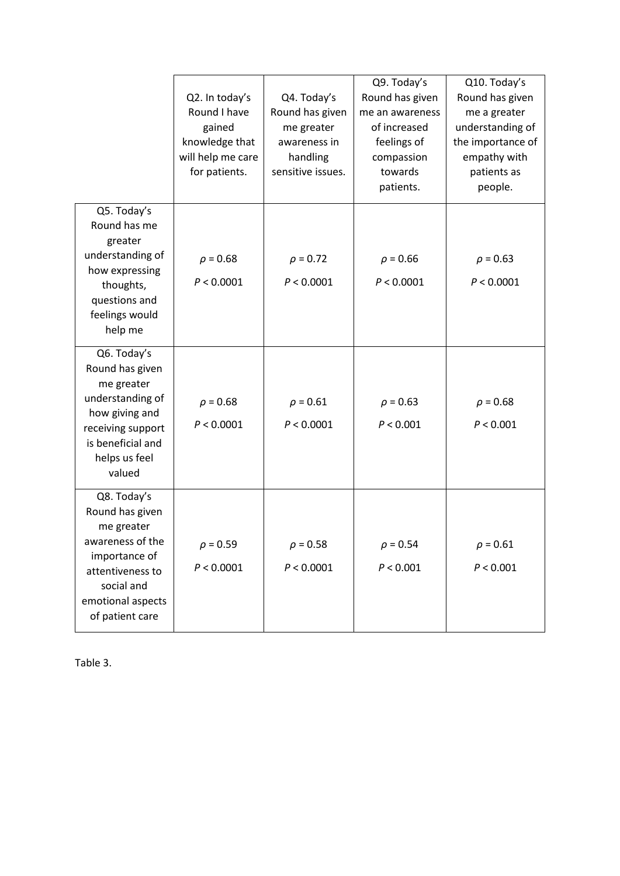|                                                                                                                                                             | Q2. In today's<br>Round I have<br>gained<br>knowledge that<br>will help me care<br>for patients. | Q4. Today's<br>Round has given<br>me greater<br>awareness in<br>handling<br>sensitive issues. | Q9. Today's<br>Round has given<br>me an awareness<br>of increased<br>feelings of<br>compassion<br>towards<br>patients. | Q10. Today's<br>Round has given<br>me a greater<br>understanding of<br>the importance of<br>empathy with<br>patients as<br>people. |
|-------------------------------------------------------------------------------------------------------------------------------------------------------------|--------------------------------------------------------------------------------------------------|-----------------------------------------------------------------------------------------------|------------------------------------------------------------------------------------------------------------------------|------------------------------------------------------------------------------------------------------------------------------------|
| Q5. Today's<br>Round has me<br>greater<br>understanding of<br>how expressing<br>thoughts,<br>questions and<br>feelings would<br>help me                     | $\rho = 0.68$<br>P < 0.0001                                                                      | $\rho = 0.72$<br>P < 0.0001                                                                   | $\rho = 0.66$<br>P < 0.0001                                                                                            | $\rho = 0.63$<br>P < 0.0001                                                                                                        |
| Q6. Today's<br>Round has given<br>me greater<br>understanding of<br>how giving and<br>receiving support<br>is beneficial and<br>helps us feel<br>valued     | $\rho = 0.68$<br>P < 0.0001                                                                      | $\rho = 0.61$<br>P < 0.0001                                                                   | $\rho = 0.63$<br>P < 0.001                                                                                             | $\rho = 0.68$<br>P < 0.001                                                                                                         |
| Q8. Today's<br>Round has given<br>me greater<br>awareness of the<br>importance of<br>attentiveness to<br>social and<br>emotional aspects<br>of patient care | $\rho = 0.59$<br>P < 0.0001                                                                      | $\rho = 0.58$<br>P < 0.0001                                                                   | $\rho = 0.54$<br>P < 0.001                                                                                             | $\rho = 0.61$<br>P < 0.001                                                                                                         |

Table 3.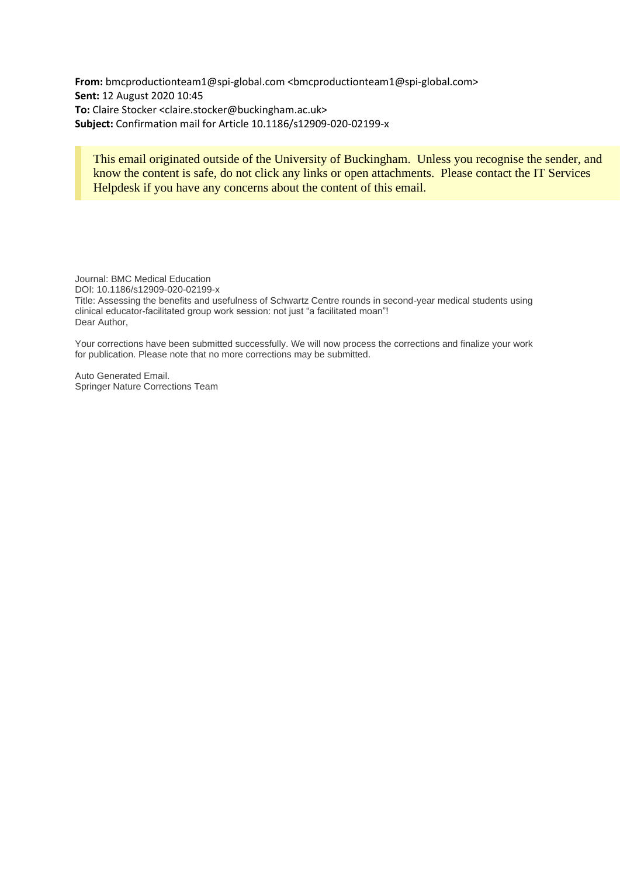**From:** bmcproductionteam1@spi-global.com <bmcproductionteam1@spi-global.com> **Sent:** 12 August 2020 10:45 **To:** Claire Stocker <claire.stocker@buckingham.ac.uk> **Subject:** Confirmation mail for Article 10.1186/s12909-020-02199-x

# This email originated outside of the University of Buckingham. Unless you recognise the sender, and know the content is safe, do not click any links or open attachments. Please contact the IT Services Helpdesk if you have any concerns about the content of this email.

Journal: BMC Medical Education DOI: 10.1186/s12909-020-02199-x Title: Assessing the benefits and usefulness of Schwartz Centre rounds in second-year medical students using clinical educator-facilitated group work session: not just "a facilitated moan"! Dear Author,

Your corrections have been submitted successfully. We will now process the corrections and finalize your work for publication. Please note that no more corrections may be submitted.

Auto Generated Email. Springer Nature Corrections Team